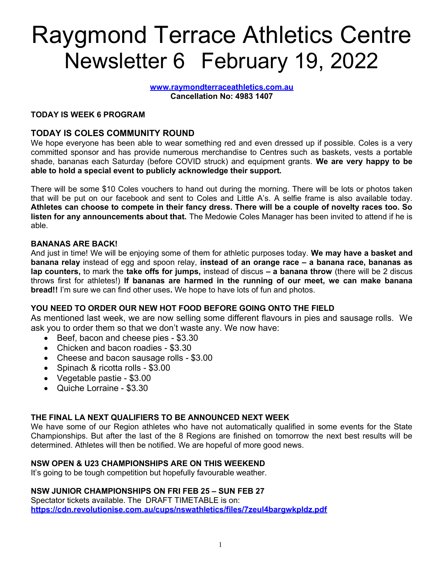# Raygmond Terrace Athletics Centre Newsletter 6 February 19, 2022

www.raymondterraceathletics.com.au Cancellation No: 4983 1407

#### TODAY IS WEEK 6 PROGRAM

## TODAY IS COLES COMMUNITY ROUND

We hope everyone has been able to wear something red and even dressed up if possible. Coles is a very committed sponsor and has provide numerous merchandise to Centres such as baskets, vests a portable shade, bananas each Saturday (before COVID struck) and equipment grants. We are very happy to be able to hold a special event to publicly acknowledge their support.

There will be some \$10 Coles vouchers to hand out during the morning. There will be lots or photos taken that will be put on our facebook and sent to Coles and Little A's. A selfie frame is also available today. Athletes can choose to compete in their fancy dress. There will be a couple of novelty races too. So listen for any announcements about that. The Medowie Coles Manager has been invited to attend if he is able.

#### BANANAS ARE BACK!

And just in time! We will be enjoying some of them for athletic purposes today. We may have a basket and banana relay instead of egg and spoon relay, instead of an orange race – a banana race, bananas as lap counters, to mark the take offs for jumps, instead of discus – a banana throw (there will be 2 discus throws first for athletes!) If bananas are harmed in the running of our meet, we can make banana bread!! I'm sure we can find other uses. We hope to have lots of fun and photos.

#### YOU NEED TO ORDER OUR NEW HOT FOOD BEFORE GOING ONTO THE FIELD

As mentioned last week, we are now selling some different flavours in pies and sausage rolls. We ask you to order them so that we don't waste any. We now have:

- Beef, bacon and cheese pies \$3.30
- Chicken and bacon roadies \$3.30
- Cheese and bacon sausage rolls \$3.00
- Spinach & ricotta rolls \$3.00
- Vegetable pastie \$3.00
- Quiche Lorraine \$3.30

## THE FINAL LA NEXT QUALIFIERS TO BE ANNOUNCED NEXT WEEK

We have some of our Region athletes who have not automatically qualified in some events for the State Championships. But after the last of the 8 Regions are finished on tomorrow the next best results will be determined. Athletes will then be notified. We are hopeful of more good news.

#### NSW OPEN & U23 CHAMPIONSHIPS ARE ON THIS WEEKEND

It's going to be tough competition but hopefully favourable weather.

## NSW JUNIOR CHAMPIONSHIPS ON FRI FEB 25 – SUN FEB 27

Spectator tickets available. The DRAFT TIMETABLE is on: https://cdn.revolutionise.com.au/cups/nswathletics/files/7zeul4bargwkpldz.pdf